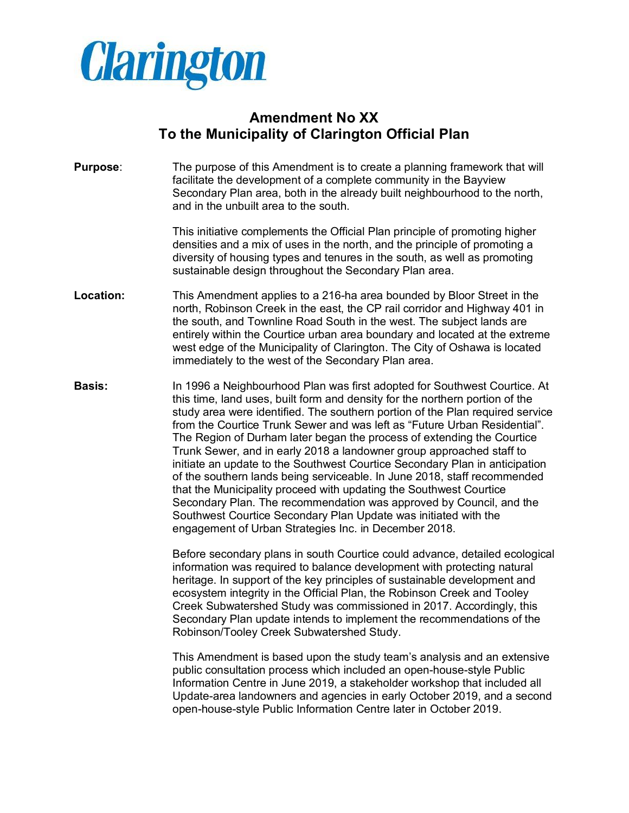

## **Amendment No XX To the Municipality of Clarington Official Plan**

**Purpose**: The purpose of this Amendment is to create a planning framework that will facilitate the development of a complete community in the Bayview Secondary Plan area, both in the already built neighbourhood to the north, and in the unbuilt area to the south.

> This initiative complements the Official Plan principle of promoting higher densities and a mix of uses in the north, and the principle of promoting a diversity of housing types and tenures in the south, as well as promoting sustainable design throughout the Secondary Plan area.

- **Location:** This Amendment applies to a 216-ha area bounded by Bloor Street in the north, Robinson Creek in the east, the CP rail corridor and Highway 401 in the south, and Townline Road South in the west. The subject lands are entirely within the Courtice urban area boundary and located at the extreme west edge of the Municipality of Clarington. The City of Oshawa is located immediately to the west of the Secondary Plan area.
- **Basis:** In 1996 a Neighbourhood Plan was first adopted for Southwest Courtice. At this time, land uses, built form and density for the northern portion of the study area were identified. The southern portion of the Plan required service from the Courtice Trunk Sewer and was left as "Future Urban Residential". The Region of Durham later began the process of extending the Courtice Trunk Sewer, and in early 2018 a landowner group approached staff to initiate an update to the Southwest Courtice Secondary Plan in anticipation of the southern lands being serviceable. In June 2018, staff recommended that the Municipality proceed with updating the Southwest Courtice Secondary Plan. The recommendation was approved by Council, and the Southwest Courtice Secondary Plan Update was initiated with the engagement of Urban Strategies Inc. in December 2018.

Before secondary plans in south Courtice could advance, detailed ecological information was required to balance development with protecting natural heritage. In support of the key principles of sustainable development and ecosystem integrity in the Official Plan, the Robinson Creek and Tooley Creek Subwatershed Study was commissioned in 2017. Accordingly, this Secondary Plan update intends to implement the recommendations of the Robinson/Tooley Creek Subwatershed Study.

This Amendment is based upon the study team's analysis and an extensive public consultation process which included an open-house-style Public Information Centre in June 2019, a stakeholder workshop that included all Update-area landowners and agencies in early October 2019, and a second open-house-style Public Information Centre later in October 2019.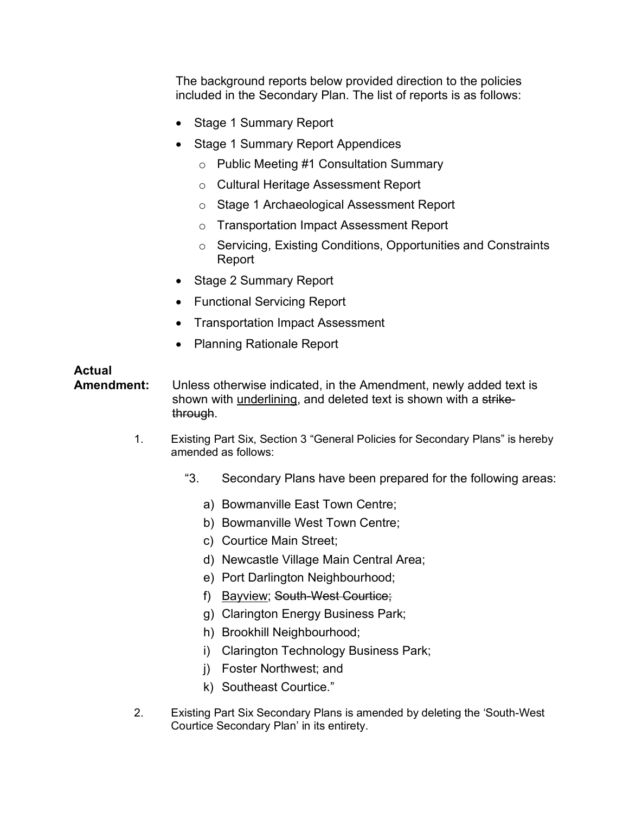The background reports below provided direction to the policies included in the Secondary Plan. The list of reports is as follows:

- Stage 1 Summary Report
- Stage 1 Summary Report Appendices
	- o Public Meeting #1 Consultation Summary
	- o Cultural Heritage Assessment Report
	- o Stage 1 Archaeological Assessment Report
	- o Transportation Impact Assessment Report
	- o Servicing, Existing Conditions, Opportunities and Constraints Report
- Stage 2 Summary Report
- Functional Servicing Report
- Transportation Impact Assessment
- Planning Rationale Report

## **Actual**

**Amendment:** Unless otherwise indicated, in the Amendment, newly added text is shown with underlining, and deleted text is shown with a strikethrough.

- 1. Existing Part Six, Section 3 "General Policies for Secondary Plans" is hereby amended as follows:
	- "3. Secondary Plans have been prepared for the following areas:
		- a) Bowmanville East Town Centre;
		- b) Bowmanville West Town Centre;
		- c) Courtice Main Street;
		- d) Newcastle Village Main Central Area;
		- e) Port Darlington Neighbourhood;
		- f) Bayview; South-West Courtice;
		- g) Clarington Energy Business Park;
		- h) Brookhill Neighbourhood;
		- i) Clarington Technology Business Park;
		- j) Foster Northwest; and
		- k) Southeast Courtice."
- 2. Existing Part Six Secondary Plans is amended by deleting the 'South-West Courtice Secondary Plan' in its entirety.